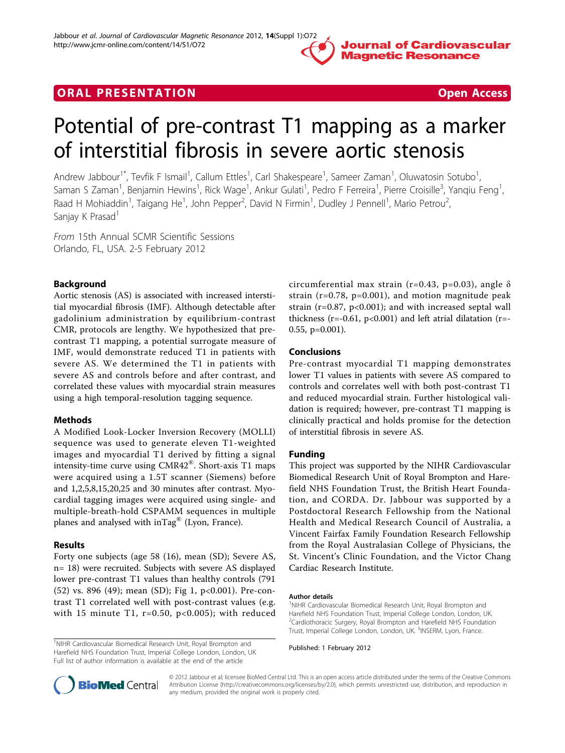

# **ORAL PRESENTATION CONSUMING ACCESS**

# Potential of pre-contrast T1 mapping as a marker of interstitial fibrosis in severe aortic stenosis

Andrew Jabbour<sup>1\*</sup>, Tevfik F Ismail<sup>1</sup>, Callum Ettles<sup>1</sup>, Carl Shakespeare<sup>1</sup>, Sameer Zaman<sup>1</sup>, Oluwatosin Sotubo<sup>1</sup> , Saman S Zaman<sup>1</sup>, Benjamin Hewins<sup>1</sup>, Rick Wage<sup>1</sup>, Ankur Gulati<sup>1</sup>, Pedro F Ferreira<sup>1</sup>, Pierre Croisille<sup>3</sup>, Yanqiu Feng<sup>1</sup> , Raad H Mohiaddin<sup>1</sup>, Taigang He<sup>1</sup>, John Pepper<sup>2</sup>, David N Firmin<sup>1</sup>, Dudley J Pennell<sup>1</sup>, Mario Petrou<sup>2</sup> , Sanjay K Prasad<sup>1</sup>

From 15th Annual SCMR Scientific Sessions Orlando, FL, USA. 2-5 February 2012

## Background

Aortic stenosis (AS) is associated with increased interstitial myocardial fibrosis (IMF). Although detectable after gadolinium administration by equilibrium-contrast CMR, protocols are lengthy. We hypothesized that precontrast T1 mapping, a potential surrogate measure of IMF, would demonstrate reduced T1 in patients with severe AS. We determined the T1 in patients with severe AS and controls before and after contrast, and correlated these values with myocardial strain measures using a high temporal-resolution tagging sequence.

### Methods

A Modified Look-Locker Inversion Recovery (MOLLI) sequence was used to generate eleven T1-weighted images and myocardial T1 derived by fitting a signal intensity-time curve using CMR42®. Short-axis T1 maps were acquired using a 1.5T scanner (Siemens) before and 1,2,5,8,15,20,25 and 30 minutes after contrast. Myocardial tagging images were acquired using single- and multiple-breath-hold CSPAMM sequences in multiple planes and analysed with inTag® (Lyon, France).

### Results

Forty one subjects (age 58 (16), mean (SD); Severe AS, n= 18) were recruited. Subjects with severe AS displayed lower pre-contrast T1 values than healthy controls (791 (52) vs. 896 (49); mean (SD); Fig [1](#page-1-0), p<0.001). Pre-contrast T1 correlated well with post-contrast values (e.g. with 15 minute T1,  $r=0.50$ ,  $p<0.005$ ); with reduced

<sup>1</sup>NIHR Cardiovascular Biomedical Research Unit, Royal Brompton and Harefield NHS Foundation Trust, Imperial College London, London, UK Full list of author information is available at the end of the article

circumferential max strain (r=0.43, p=0.03), angle  $\delta$ strain  $(r=0.78, p=0.001)$ , and motion magnitude peak strain ( $r=0.87$ ,  $p<0.001$ ); and with increased septal wall thickness ( $r = -0.61$ ,  $p < 0.001$ ) and left atrial dilatation ( $r = -1$ 0.55, p=0.001).

### Conclusions

Pre-contrast myocardial T1 mapping demonstrates lower T1 values in patients with severe AS compared to controls and correlates well with both post-contrast T1 and reduced myocardial strain. Further histological validation is required; however, pre-contrast T1 mapping is clinically practical and holds promise for the detection of interstitial fibrosis in severe AS.

### Funding

This project was supported by the NIHR Cardiovascular Biomedical Research Unit of Royal Brompton and Harefield NHS Foundation Trust, the British Heart Foundation, and CORDA. Dr. Jabbour was supported by a Postdoctoral Research Fellowship from the National Health and Medical Research Council of Australia, a Vincent Fairfax Family Foundation Research Fellowship from the Royal Australasian College of Physicians, the St. Vincent's Clinic Foundation, and the Victor Chang Cardiac Research Institute.

#### Author details

<sup>1</sup>NIHR Cardiovascular Biomedical Research Unit, Royal Brompton and Harefield NHS Foundation Trust, Imperial College London, London, UK. 2 Cardiothoracic Surgery, Royal Brompton and Harefield NHS Foundation Trust, Imperial College London, London, UK. <sup>3</sup>INSERM, Lyon, France

Published: 1 February 2012



© 2012 Jabbour et al; licensee BioMed Central Ltd. This is an open access article distributed under the terms of the Creative Commons Attribution License [\(http://creativecommons.org/licenses/by/2.0](http://creativecommons.org/licenses/by/2.0)), which permits unrestricted use, distribution, and reproduction in any medium, provided the original work is properly cited.